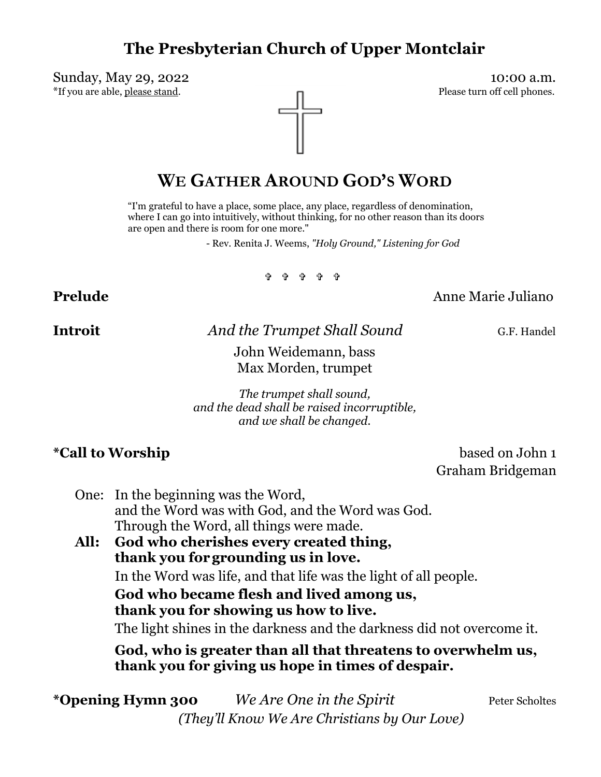# **The Presbyterian Church of Upper Montclair**

Sunday, May 29, 2022 10:00 a.m.

\*If you are able, please stand.



# **WE GATHER AROUND GOD'S WORD**

"I'm grateful to have a place, some place, any place, regardless of denomination, where I can go into intuitively, without thinking, for no other reason than its doors are open and there is room for one more."

- Rev. Renita J. Weems, *"Holy Ground," Listening for God*

።<br>በ በ በ በ በ

## **Prelude** Anne Marie Juliano

**Introit** *And the Trumpet Shall Sound* G.F. Handel

John Weidemann, bass Max Morden, trumpet

*The trumpet shall sound, and the dead shall be raised incorruptible, and we shall be changed.*

**\*Call to Worship** based on John 1 Graham Bridgeman

One: In the beginning was the Word, and the Word was with God, and the Word was God. Through the Word, all things were made.

**All: God who cherishes every created thing, thank you forgrounding us in love.** In the Word was life, and that life was the light of all people. **God who became flesh and lived among us, thank you for showing us how to live.** The light shines in the darkness and the darkness did not overcome it. **God, who is greater than all that threatens to overwhelm us,** 

**thank you for giving us hope in times of despair.**

\***Opening Hymn 300** *We Are One in the Spirit* Peter Scholtes  *(They'll Know We Are Christians by Our Love)*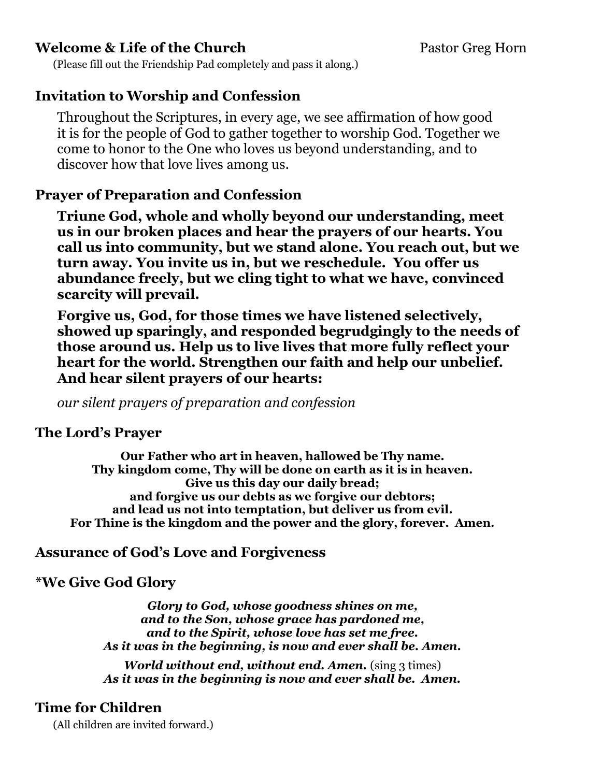## **Welcome & Life of the Church Pastor Greg Horn Pastor Greg Horn**

(Please fill out the Friendship Pad completely and pass it along.)

## **Invitation to Worship and Confession**

Throughout the Scriptures, in every age, we see affirmation of how good it is for the people of God to gather together to worship God. Together we come to honor to the One who loves us beyond understanding, and to discover how that love lives among us.

## **Prayer of Preparation and Confession**

**Triune God, whole and wholly beyond our understanding, meet us in our broken places and hear the prayers of our hearts. You call us into community, but we stand alone. You reach out, but we turn away. You invite us in, but we reschedule. You offer us abundance freely, but we cling tight to what we have, convinced scarcity will prevail.**

**Forgive us, God, for those times we have listened selectively, showed up sparingly, and responded begrudgingly to the needs of those around us. Help us to live lives that more fully reflect your heart for the world. Strengthen our faith and help our unbelief. And hear silent prayers of our hearts:**

*our silent prayers of preparation and confession*

## **The Lord's Prayer**

**Our Father who art in heaven, hallowed be Thy name. Thy kingdom come, Thy will be done on earth as it is in heaven. Give us this day our daily bread; and forgive us our debts as we forgive our debtors; and lead us not into temptation, but deliver us from evil. For Thine is the kingdom and the power and the glory, forever. Amen.**

### **Assurance of God's Love and Forgiveness**

## **\*We Give God Glory**

*Glory to God, whose goodness shines on me, and to the Son, whose grace has pardoned me, and to the Spirit, whose love has set me free. As it was in the beginning, is now and ever shall be. Amen.*

*World without end, without end. Amen.* (sing 3 times) *As it was in the beginning is now and ever shall be. Amen.*

## **Time for Children**

(All children are invited forward.)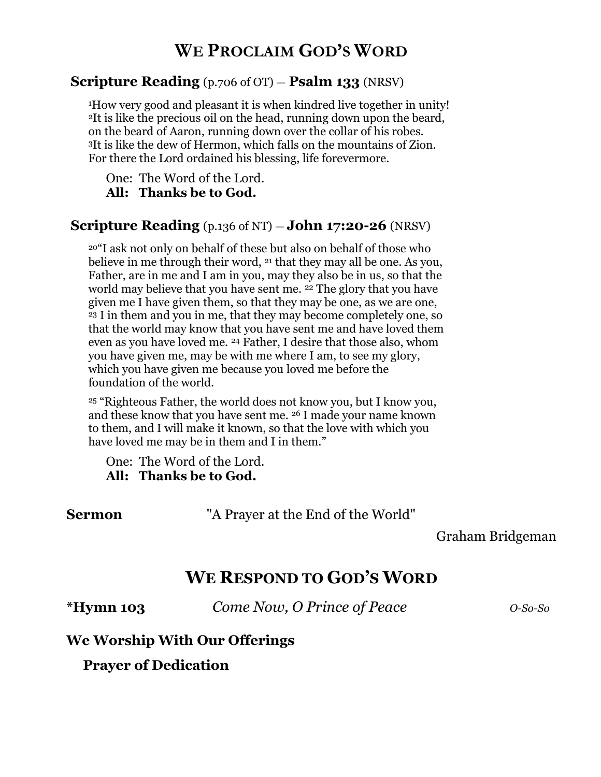# **WE PROCLAIM GOD'S WORD**

#### **Scripture Reading** (p.706 of OT) — **Psalm 133** (NRSV)

<sup>1</sup>How very good and pleasant it is when kindred live together in unity! <sup>2</sup>It is like the precious oil on the head, running down upon the beard, on the beard of Aaron, running down over the collar of his robes. <sup>3</sup>It is like the dew of Hermon, which falls on the mountains of Zion. For there the Lord ordained his blessing, life forevermore.

One: The Word of the Lord. **All: Thanks be to God.** 

#### **Scripture Reading** (p.136 of NT) — **John 17:20-26** (NRSV)

<sup>20</sup>"I ask not only on behalf of these but also on behalf of those who believe in me through their word, <sup>21</sup> that they may all be one. As you, Father, are in me and I am in you, may they also be in us, so that the world may believe that you have sent me. <sup>22</sup> The glory that you have given me I have given them, so that they may be one, as we are one, <sup>23</sup> I in them and you in me, that they may become completely one, so that the world may know that you have sent me and have loved them even as you have loved me. <sup>24</sup> Father, I desire that those also, whom you have given me, may be with me where I am, to see my glory, which you have given me because you loved me before the foundation of the world.

<sup>25</sup> "Righteous Father, the world does not know you, but I know you, and these know that you have sent me. <sup>26</sup> I made your name known to them, and I will make it known, so that the love with which you have loved me may be in them and I in them."

One: The Word of the Lord. **All: Thanks be to God.** 

**Sermon** "A Prayer at the End of the World"

### Graham Bridgeman

## **WE RESPOND TO GOD'S WORD**

**\*Hymn 103** *Come Now, O Prince of Peace O-So-So*

#### **We Worship With Our Offerings**

**Prayer of Dedication**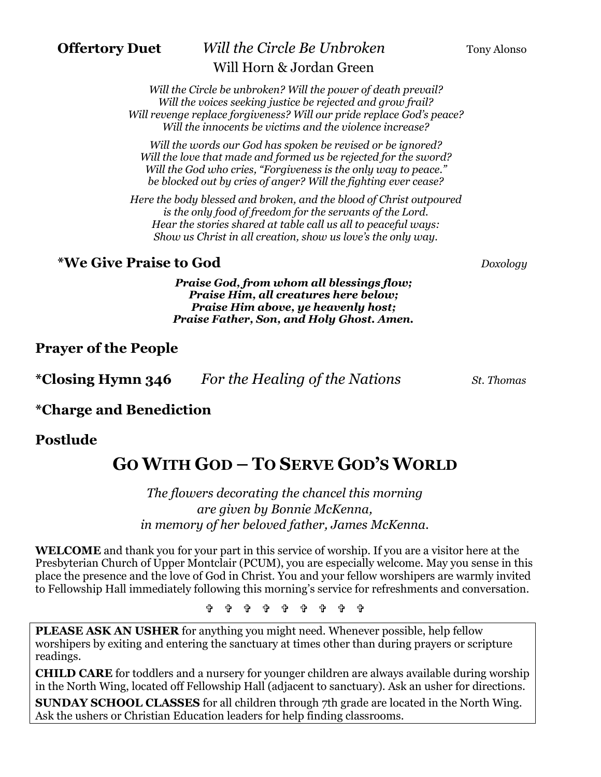## **Offertory Duet** *Will the Circle Be Unbroken* Tony Alonso Will Horn & Jordan Green

*Will the words our God has spoken be revised or be ignored? Will the love that made and formed us be rejected for the sword? Will the God who cries, "Forgiveness is the only way to peace." be blocked out by cries of anger? Will the fighting ever cease?*

*Here the body blessed and broken, and the blood of Christ outpoured is the only food of freedom for the servants of the Lord. Hear the stories shared at table call us all to peaceful ways: Show us Christ in all creation, show us love's the only way.*

## **\*We Give Praise to God** *Doxology*

*Praise God, from whom all blessings flow; Praise Him, all creatures here below; Praise Him above, ye heavenly host; Praise Father, Son, and Holy Ghost. Amen.*

## **Prayer of the People**

| <i>*</i> Closing Hymn 346 | For the Healing of the Nations | St. Thomas |
|---------------------------|--------------------------------|------------|
|                           |                                |            |

## **\*Charge and Benediction**

### **Postlude**

# **GO WITH GOD – TO SERVE GOD'S WORLD**

*The flowers decorating the chancel this morning are given by Bonnie McKenna, in memory of her beloved father, James McKenna.*

**WELCOME** and thank you for your part in this service of worship. If you are a visitor here at the Presbyterian Church of Upper Montclair (PCUM), you are especially welcome. May you sense in this place the presence and the love of God in Christ. You and your fellow worshipers are warmly invited to Fellowship Hall immediately following this morning's service for refreshments and conversation.

**ቀ ቀ ቀ ቀ ቀ ቀ ቀ** 

**PLEASE ASK AN USHER** for anything you might need. Whenever possible, help fellow worshipers by exiting and entering the sanctuary at times other than during prayers or scripture readings.

**CHILD CARE** for toddlers and a nursery for younger children are always available during worship in the North Wing, located off Fellowship Hall (adjacent to sanctuary). Ask an usher for directions.

**SUNDAY SCHOOL CLASSES** for all children through 7th grade are located in the North Wing. Ask the ushers or Christian Education leaders for help finding classrooms.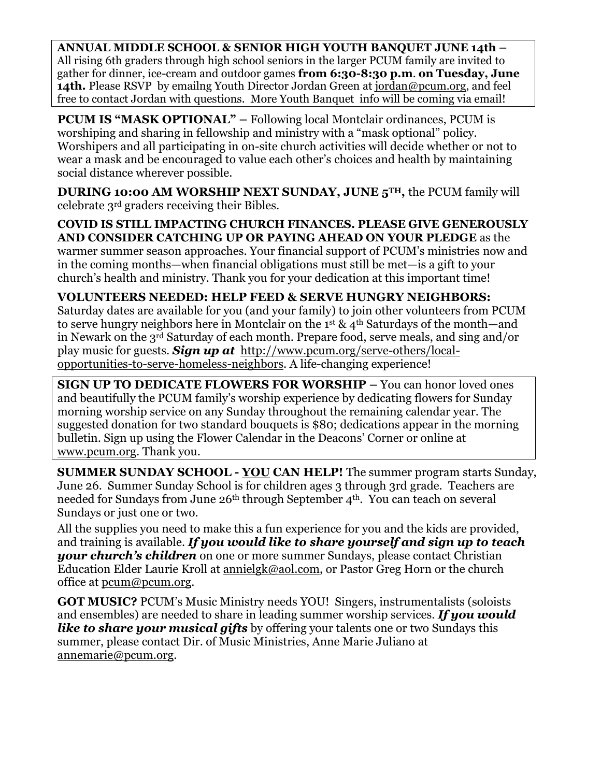**ANNUAL MIDDLE SCHOOL & SENIOR HIGH YOUTH BANQUET JUNE 14th –** All rising 6th graders through high school seniors in the larger PCUM family are invited to gather for dinner, ice-cream and outdoor games **from 6:30-8:30 p.m**. **on Tuesday, June 14th.** Please RSVP by emailng Youth Director Jordan Green at [jordan@pcum.org,](mailto:jordan@pcum.org) and feel free to contact Jordan with questions. More Youth Banquet info will be coming via email!

**PCUM IS "MASK OPTIONAL"** – Following local Montclair ordinances, PCUM is worshiping and sharing in fellowship and ministry with a "mask optional" policy. Worshipers and all participating in on-site church activities will decide whether or not to wear a mask and be encouraged to value each other's choices and health by maintaining social distance wherever possible.

**DURING 10:00 AM WORSHIP NEXT SUNDAY, JUNE 5TH,** the PCUM family will celebrate 3rd graders receiving their Bibles.

**COVID IS STILL IMPACTING CHURCH FINANCES. PLEASE GIVE GENEROUSLY AND CONSIDER CATCHING UP OR PAYING AHEAD ON YOUR PLEDGE** as the warmer summer season approaches. Your financial support of PCUM's ministries now and in the coming months—when financial obligations must still be met—is a gift to your church's health and ministry. Thank you for your dedication at this important time!

#### **VOLUNTEERS NEEDED: HELP FEED & SERVE HUNGRY NEIGHBORS:**

Saturday dates are available for you (and your family) to join other volunteers from PCUM to serve hungry neighbors here in Montclair on the 1st & 4<sup>th</sup> Saturdays of the month—and in Newark on the 3rd Saturday of each month. Prepare food, serve meals, and sing and/or play music for guests. *Sign up at* [http://www.pcum.org/serve-others/local](http://www.pcum.org/serve-others/local-opportunities-to-serve-homeless-neighbors)[opportunities-to-serve-homeless-neighbors.](http://www.pcum.org/serve-others/local-opportunities-to-serve-homeless-neighbors) A life-changing experience!

**SIGN UP TO DEDICATE FLOWERS FOR WORSHIP –** You can honor loved ones and beautifully the PCUM family's worship experience by dedicating flowers for Sunday morning worship service on any Sunday throughout the remaining calendar year. The suggested donation for two standard bouquets is \$80; dedications appear in the morning bulletin. Sign up using the Flower Calendar in the Deacons' Corner or online at [www.pcum.org.](http://www.pcum.org/) Thank you.

**SUMMER SUNDAY SCHOOL - YOU CAN HELP!** The summer program starts Sunday, June 26. Summer Sunday School is for children ages 3 through 3rd grade. Teachers are needed for Sundays from June 26<sup>th</sup> through September 4<sup>th</sup>. You can teach on several Sundays or just one or two.

All the supplies you need to make this a fun experience for you and the kids are provided, and training is available. *If you would like to share yourself and sign up to teach your church's children* on one or more summer Sundays, please contact Christian Education Elder Laurie Kroll at [annielgk@aol.com,](mailto:annielgk@aol.com) or Pastor Greg Horn or the church office at [pcum@pcum.org.](mailto:pcum@pcum.org)

**GOT MUSIC?** PCUM's Music Ministry needs YOU! Singers, instrumentalists (soloists and ensembles) are needed to share in leading summer worship services. *If you would like to share your musical gifts* by offering your talents one or two Sundays this summer, please contact Dir. of Music Ministries, Anne Marie Juliano at [annemarie@pcum.org.](mailto:annemarie@pcum.org)